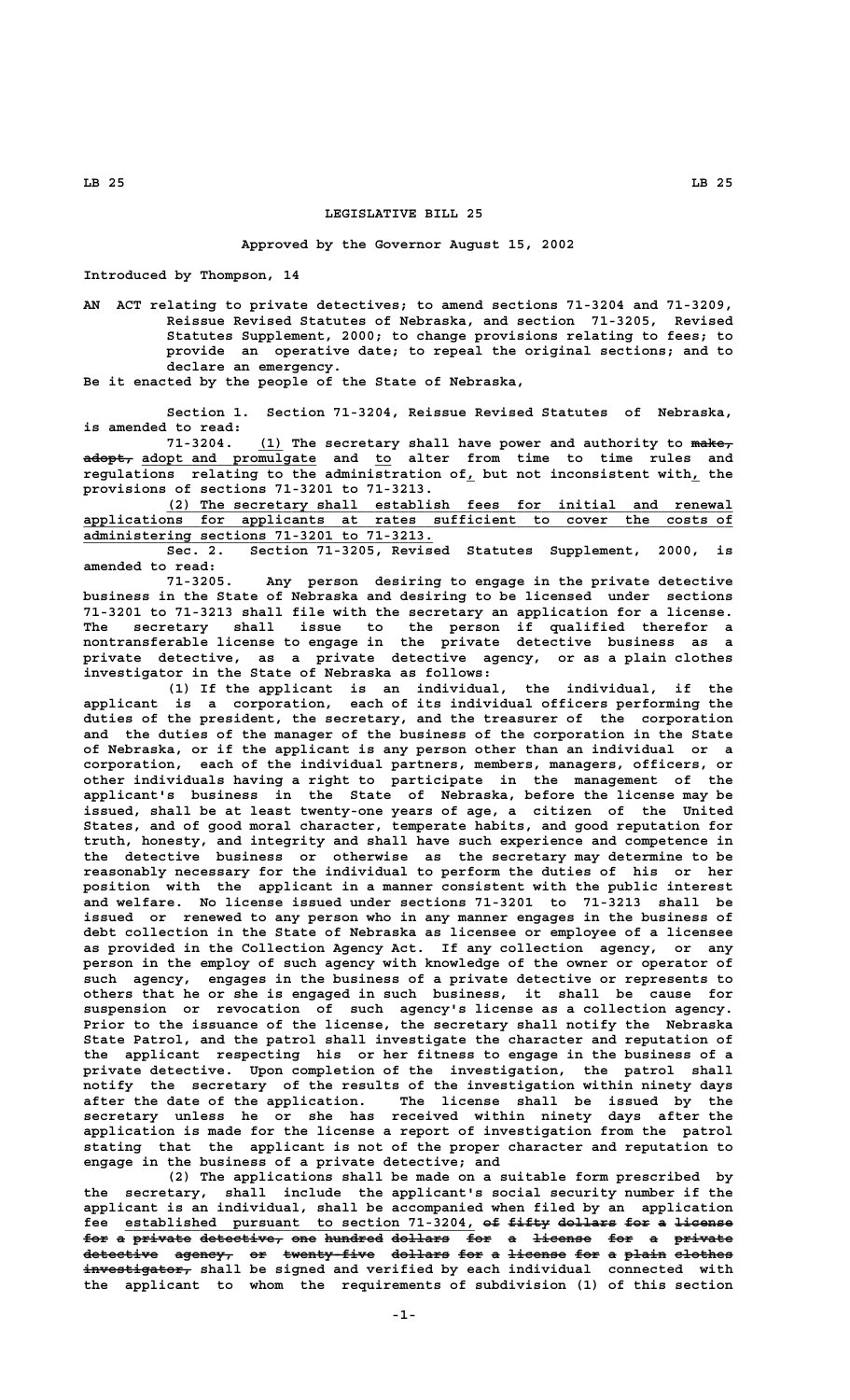## **LEGISLATIVE BILL 25**

## **Approved by the Governor August 15, 2002**

**Introduced by Thompson, 14**

**AN ACT relating to private detectives; to amend sections 71-3204 and 71-3209, Reissue Revised Statutes of Nebraska, and section 71-3205, Revised Statutes Supplement, 2000; to change provisions relating to fees; to provide an operative date; to repeal the original sections; and to declare an emergency.**

**Be it enacted by the people of the State of Nebraska,**

**Section 1. Section 71-3204, Reissue Revised Statutes of Nebraska, is amended to read:**

 **\_\_\_ ————— 71-3204. (1) The secretary shall have power and authority to make, —————— \_\_\_\_\_\_\_\_\_\_\_\_\_\_\_\_\_\_\_\_\_ \_\_ adopt, adopt and promulgate and to alter from time to time rules and regulations relating to the administration of, but not inconsistent with, the \_ \_ provisions of sections 71-3201 to 71-3213.**

 **\_\_\_\_\_\_\_\_\_\_\_\_\_\_\_\_\_\_\_\_\_\_\_\_\_\_\_\_\_\_\_\_\_\_\_\_\_\_\_\_\_\_\_\_\_\_\_\_\_\_\_\_\_\_\_\_\_\_\_\_\_\_\_\_\_\_\_\_ (2) The secretary shall establish fees for initial and renewal \_\_\_\_\_\_\_\_\_\_\_\_\_\_\_\_\_\_\_\_\_\_\_\_\_\_\_\_\_\_\_\_\_\_\_\_\_\_\_\_\_\_\_\_\_\_\_\_\_\_\_\_\_\_\_\_\_\_\_\_\_\_\_\_\_\_\_\_\_\_\_\_\_\_\_\_\_\_ applications for applicants at rates sufficient to cover the costs of \_\_\_\_\_\_\_\_\_\_\_\_\_\_\_\_\_\_\_\_\_\_\_\_\_\_\_\_\_\_\_\_\_\_\_\_\_\_\_\_\_\_ administering sections 71-3201 to 71-3213.**

**Sec. 2. Section 71-3205, Revised Statutes Supplement, 2000, is amended to read:**

Any person desiring to engage in the private detective **business in the State of Nebraska and desiring to be licensed under sections 71-3201 to 71-3213 shall file with the secretary an application for a license. The secretary shall issue to the person if qualified therefor a nontransferable license to engage in the private detective business as a private detective, as a private detective agency, or as a plain clothes investigator in the State of Nebraska as follows:**

**(1) If the applicant is an individual, the individual, if the applicant is a corporation, each of its individual officers performing the duties of the president, the secretary, and the treasurer of the corporation and the duties of the manager of the business of the corporation in the State of Nebraska, or if the applicant is any person other than an individual or a corporation, each of the individual partners, members, managers, officers, or other individuals having a right to participate in the management of the applicant's business in the State of Nebraska, before the license may be issued, shall be at least twenty-one years of age, a citizen of the United States, and of good moral character, temperate habits, and good reputation for truth, honesty, and integrity and shall have such experience and competence in the detective business or otherwise as the secretary may determine to be reasonably necessary for the individual to perform the duties of his or her position with the applicant in a manner consistent with the public interest and welfare. No license issued under sections 71-3201 to 71-3213 shall be issued or renewed to any person who in any manner engages in the business of debt collection in the State of Nebraska as licensee or employee of a licensee as provided in the Collection Agency Act. If any collection agency, or any person in the employ of such agency with knowledge of the owner or operator of such agency, engages in the business of a private detective or represents to others that he or she is engaged in such business, it shall be cause for suspension or revocation of such agency's license as a collection agency. Prior to the issuance of the license, the secretary shall notify the Nebraska State Patrol, and the patrol shall investigate the character and reputation of the applicant respecting his or her fitness to engage in the business of a private detective. Upon completion of the investigation, the patrol shall notify the secretary of the results of the investigation within ninety days after the date of the application. The license shall be issued by the secretary unless he or she has received within ninety days after the application is made for the license a report of investigation from the patrol stating that the applicant is not of the proper character and reputation to engage in the business of a private detective; and**

**(2) The applications shall be made on a suitable form prescribed by the secretary, shall include the applicant's social security number if the applicant is an individual, shall be accompanied when filed by an application** fee established pursuant to section 71-3204, of fifty dollars for a license for a private detective, one hundred dollars for a license for a private  $\text{detective}$  agency<sub>7</sub> or twenty-five dollars for a license for a plain clothes  $\frac{1}{4}$  **westigator,** shall be signed and verified by each individual connected with **the applicant to whom the requirements of subdivision (1) of this section**